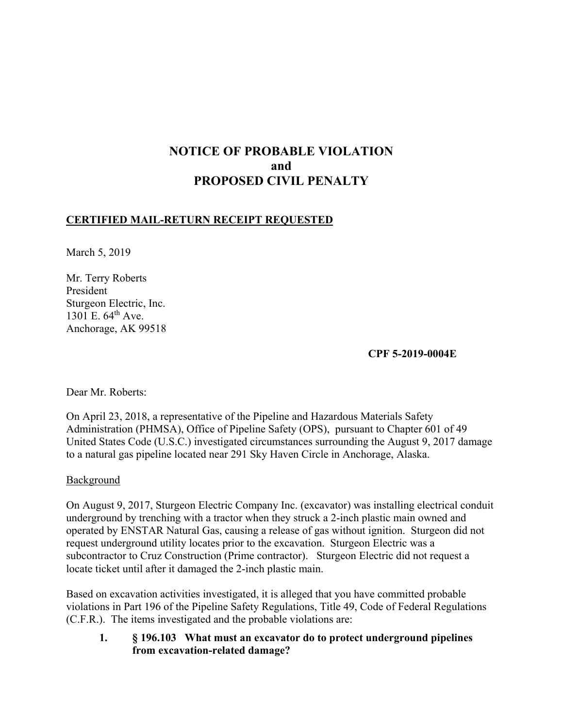# **NOTICE OF PROBABLE VIOLATION and PROPOSED CIVIL PENALTY**

## **CERTIFIED MAIL-RETURN RECEIPT REQUESTED**

March 5, 2019

Mr. Terry Roberts President Sturgeon Electric, Inc. 1301 E. 64<sup>th</sup> Ave. Anchorage, AK 99518

## **CPF 5-2019-0004E**

Dear Mr. Roberts:

On April 23, 2018, a representative of the Pipeline and Hazardous Materials Safety Administration (PHMSA), Office of Pipeline Safety (OPS), pursuant to Chapter 601 of 49 United States Code (U.S.C.) investigated circumstances surrounding the August 9, 2017 damage to a natural gas pipeline located near 291 Sky Haven Circle in Anchorage, Alaska.

#### Background

On August 9, 2017, Sturgeon Electric Company Inc. (excavator) was installing electrical conduit underground by trenching with a tractor when they struck a 2-inch plastic main owned and operated by ENSTAR Natural Gas, causing a release of gas without ignition. Sturgeon did not request underground utility locates prior to the excavation. Sturgeon Electric was a subcontractor to Cruz Construction (Prime contractor). Sturgeon Electric did not request a locate ticket until after it damaged the 2-inch plastic main.

Based on excavation activities investigated, it is alleged that you have committed probable violations in Part 196 of the Pipeline Safety Regulations, Title 49, Code of Federal Regulations (C.F.R.). The items investigated and the probable violations are:

**1. § 196.103 What must an excavator do to protect underground pipelines from excavation-related damage?**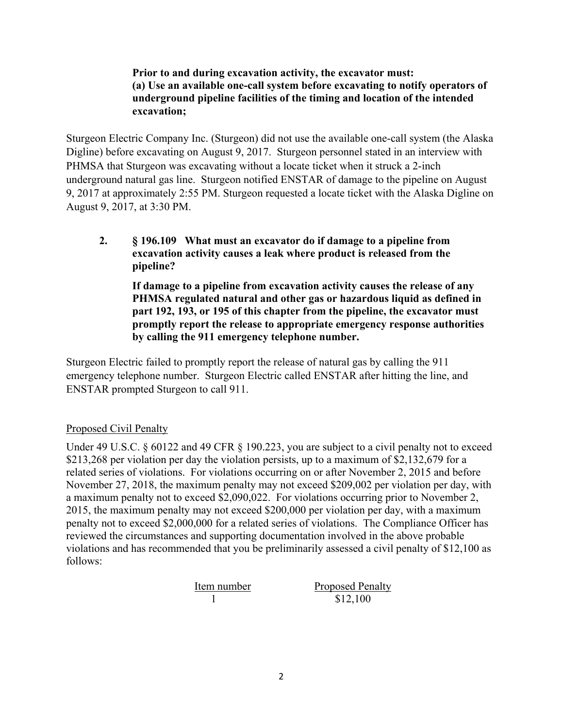**Prior to and during excavation activity, the excavator must: (a) Use an available one-call system before excavating to notify operators of underground pipeline facilities of the timing and location of the intended excavation;** 

Sturgeon Electric Company Inc. (Sturgeon) did not use the available one-call system (the Alaska Digline) before excavating on August 9, 2017. Sturgeon personnel stated in an interview with PHMSA that Sturgeon was excavating without a locate ticket when it struck a 2-inch underground natural gas line. Sturgeon notified ENSTAR of damage to the pipeline on August 9, 2017 at approximately 2:55 PM. Sturgeon requested a locate ticket with the Alaska Digline on August 9, 2017, at 3:30 PM.

**2. § 196.109 What must an excavator do if damage to a pipeline from excavation activity causes a leak where product is released from the pipeline?** 

**If damage to a pipeline from excavation activity causes the release of any PHMSA regulated natural and other gas or hazardous liquid as defined in part 192, 193, or 195 of this chapter from the pipeline, the excavator must promptly report the release to appropriate emergency response authorities by calling the 911 emergency telephone number.** 

Sturgeon Electric failed to promptly report the release of natural gas by calling the 911 emergency telephone number. Sturgeon Electric called ENSTAR after hitting the line, and ENSTAR prompted Sturgeon to call 911.

# Proposed Civil Penalty

Under 49 U.S.C. § 60122 and 49 CFR § 190.223, you are subject to a civil penalty not to exceed \$213,268 per violation per day the violation persists, up to a maximum of \$2,132,679 for a related series of violations. For violations occurring on or after November 2, 2015 and before November 27, 2018, the maximum penalty may not exceed \$209,002 per violation per day, with a maximum penalty not to exceed \$2,090,022. For violations occurring prior to November 2, 2015, the maximum penalty may not exceed \$200,000 per violation per day, with a maximum penalty not to exceed \$2,000,000 for a related series of violations. The Compliance Officer has reviewed the circumstances and supporting documentation involved in the above probable violations and has recommended that you be preliminarily assessed a civil penalty of \$12,100 as follows:

| Item number | <b>Proposed Penalty</b> |
|-------------|-------------------------|
|             | \$12,100                |